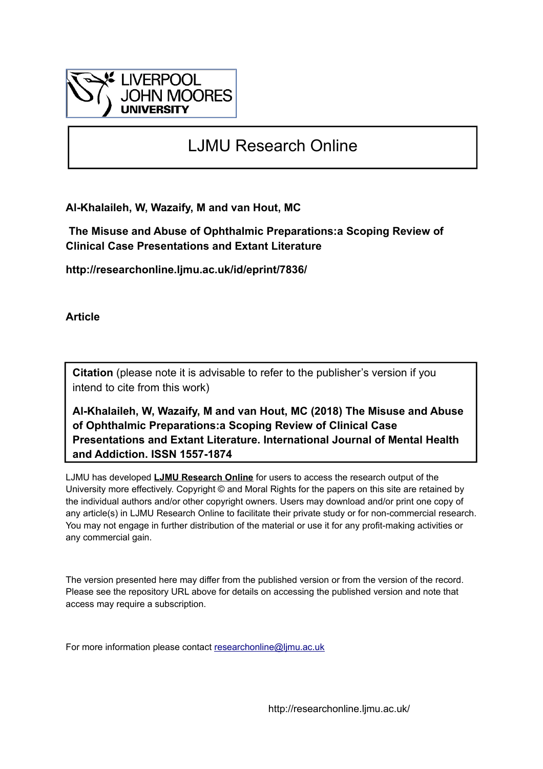

# LJMU Research Online

**Al-Khalaileh, W, Wazaify, M and van Hout, MC**

 **The Misuse and Abuse of Ophthalmic Preparations:a Scoping Review of Clinical Case Presentations and Extant Literature**

**http://researchonline.ljmu.ac.uk/id/eprint/7836/**

**Article**

**Citation** (please note it is advisable to refer to the publisher's version if you intend to cite from this work)

**Al-Khalaileh, W, Wazaify, M and van Hout, MC (2018) The Misuse and Abuse of Ophthalmic Preparations:a Scoping Review of Clinical Case Presentations and Extant Literature. International Journal of Mental Health and Addiction. ISSN 1557-1874** 

LJMU has developed **[LJMU Research Online](http://researchonline.ljmu.ac.uk/)** for users to access the research output of the University more effectively. Copyright © and Moral Rights for the papers on this site are retained by the individual authors and/or other copyright owners. Users may download and/or print one copy of any article(s) in LJMU Research Online to facilitate their private study or for non-commercial research. You may not engage in further distribution of the material or use it for any profit-making activities or any commercial gain.

The version presented here may differ from the published version or from the version of the record. Please see the repository URL above for details on accessing the published version and note that access may require a subscription.

For more information please contact [researchonline@ljmu.ac.uk](mailto:researchonline@ljmu.ac.uk)

http://researchonline.ljmu.ac.uk/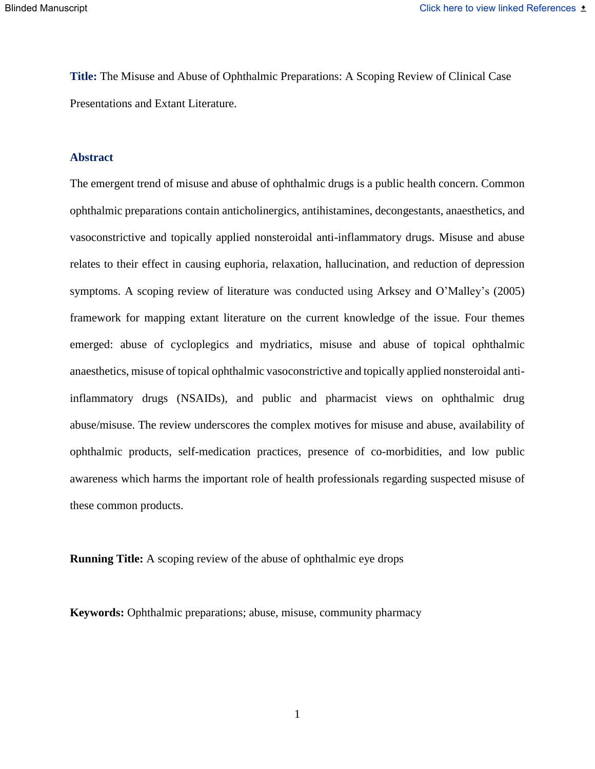**Title:** The Misuse and Abuse of Ophthalmic Preparations: A Scoping Review of Clinical Case Presentations and Extant Literature.

#### **Abstract**

The emergent trend of misuse and abuse of ophthalmic drugs is a public health concern. Common ophthalmic preparations contain anticholinergics, antihistamines, decongestants, anaesthetics, and vasoconstrictive and topically applied nonsteroidal anti-inflammatory drugs. Misuse and abuse relates to their effect in causing euphoria, relaxation, hallucination, and reduction of depression symptoms. A scoping review of literature was conducted using Arksey and O'Malley's (2005) framework for mapping extant literature on the current knowledge of the issue. Four themes emerged: abuse of cycloplegics and mydriatics, misuse and abuse of topical ophthalmic anaesthetics, misuse of topical ophthalmic vasoconstrictive and topically applied nonsteroidal antiinflammatory drugs (NSAIDs), and public and pharmacist views on ophthalmic drug abuse/misuse. The review underscores the complex motives for misuse and abuse, availability of ophthalmic products, self-medication practices, presence of co-morbidities, and low public awareness which harms the important role of health professionals regarding suspected misuse of these common products.

**Running Title:** A scoping review of the abuse of ophthalmic eye drops

**Keywords:** Ophthalmic preparations; abuse, misuse, community pharmacy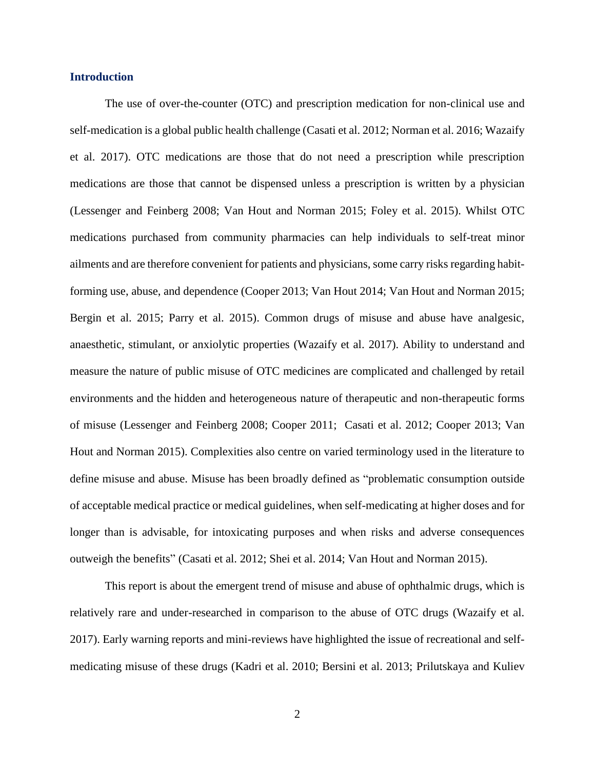#### **Introduction**

The use of over-the-counter (OTC) and prescription medication for non-clinical use and self-medication is a global public health challenge (Casati et al. 2012; Norman et al. 2016; Wazaify et al. 2017). OTC medications are those that do not need a prescription while prescription medications are those that cannot be dispensed unless a prescription is written by a physician (Lessenger and Feinberg 2008; Van Hout and Norman 2015; Foley et al. 2015). Whilst OTC medications purchased from community pharmacies can help individuals to self-treat minor ailments and are therefore convenient for patients and physicians, some carry risks regarding habitforming use, abuse, and dependence (Cooper 2013; Van Hout 2014; Van Hout and Norman 2015; Bergin et al. 2015; Parry et al. 2015). Common drugs of misuse and abuse have analgesic, anaesthetic, stimulant, or anxiolytic properties (Wazaify et al. 2017). Ability to understand and measure the nature of public misuse of OTC medicines are complicated and challenged by retail environments and the hidden and heterogeneous nature of therapeutic and non-therapeutic forms of misuse (Lessenger and Feinberg 2008; Cooper 2011; Casati et al. 2012; Cooper 2013; Van Hout and Norman 2015). Complexities also centre on varied terminology used in the literature to define misuse and abuse. Misuse has been broadly defined as "problematic consumption outside of acceptable medical practice or medical guidelines, when self-medicating at higher doses and for longer than is advisable, for intoxicating purposes and when risks and adverse consequences outweigh the benefits" (Casati et al. 2012; Shei et al. 2014; Van Hout and Norman 2015).

This report is about the emergent trend of misuse and abuse of ophthalmic drugs, which is relatively rare and under-researched in comparison to the abuse of OTC drugs (Wazaify et al. 2017). Early warning reports and mini-reviews have highlighted the issue of recreational and selfmedicating misuse of these drugs (Kadri et al. 2010; Bersini et al. 2013; Prilutskaya and Kuliev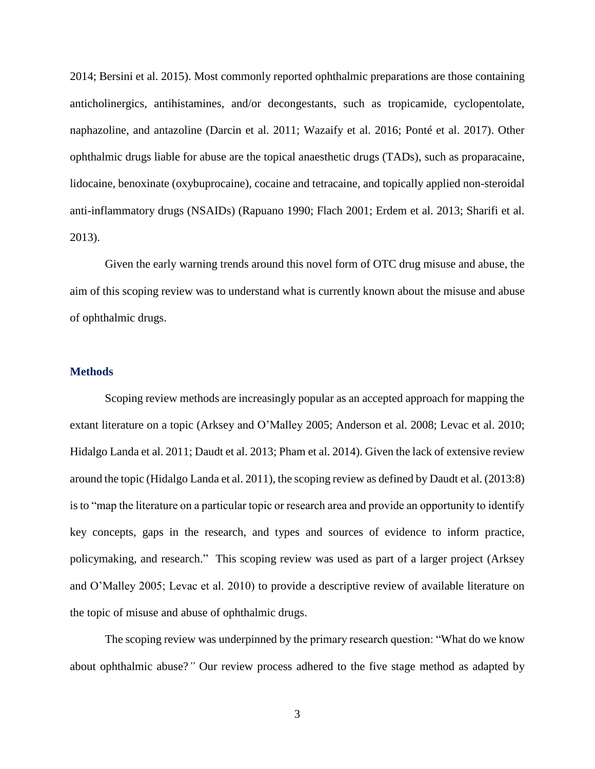2014; Bersini et al. 2015). Most commonly reported ophthalmic preparations are those containing anticholinergics, antihistamines, and/or decongestants, such as tropicamide, cyclopentolate, naphazoline, and antazoline (Darcin et al. 2011; Wazaify et al. 2016; Ponté et al. 2017). Other ophthalmic drugs liable for abuse are the topical anaesthetic drugs (TADs), such as proparacaine, lidocaine, benoxinate (oxybuprocaine), cocaine and tetracaine, and topically applied non-steroidal anti-inflammatory drugs (NSAIDs) (Rapuano 1990; Flach 2001; Erdem et al. 2013; Sharifi et al. 2013).

Given the early warning trends around this novel form of OTC drug misuse and abuse, the aim of this scoping review was to understand what is currently known about the misuse and abuse of ophthalmic drugs.

#### **Methods**

Scoping review methods are increasingly popular as an accepted approach for mapping the extant literature on a topic (Arksey and O'Malley 2005; Anderson et al. 2008; Levac et al. 2010; Hidalgo Landa et al. 2011; Daudt et al. 2013; Pham et al. 2014). Given the lack of extensive review around the topic (Hidalgo Landa et al. 2011), the scoping review as defined by Daudt et al. (2013:8) is to "map the literature on a particular topic or research area and provide an opportunity to identify key concepts, gaps in the research, and types and sources of evidence to inform practice, policymaking, and research." This scoping review was used as part of a larger project (Arksey and O'Malley 2005; Levac et al. 2010) to provide a descriptive review of available literature on the topic of misuse and abuse of ophthalmic drugs.

The scoping review was underpinned by the primary research question: "What do we know about ophthalmic abuse?*"* Our review process adhered to the five stage method as adapted by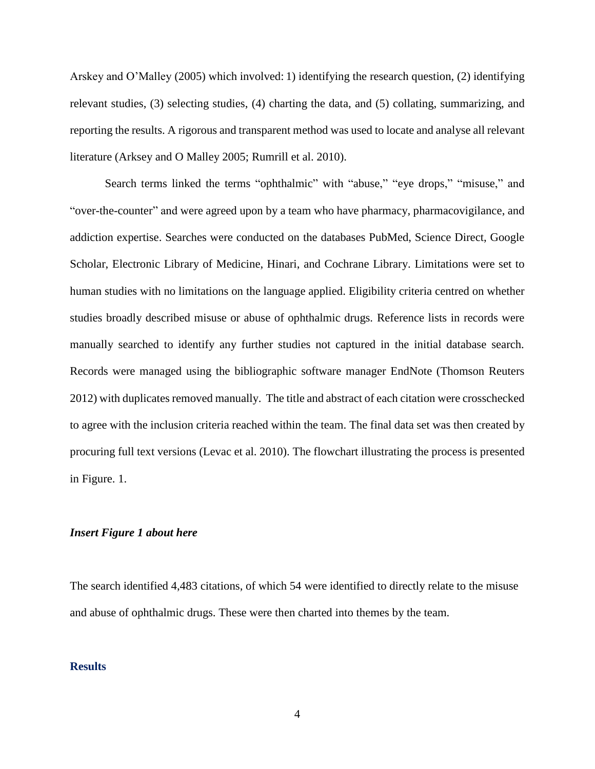Arskey and O'Malley (2005) which involved: 1) identifying the research question, (2) identifying relevant studies, (3) selecting studies, (4) charting the data, and (5) collating, summarizing, and reporting the results. A rigorous and transparent method was used to locate and analyse all relevant literature (Arksey and O Malley 2005; Rumrill et al. 2010).

Search terms linked the terms "ophthalmic" with "abuse," "eye drops," "misuse," and "over-the-counter" and were agreed upon by a team who have pharmacy, pharmacovigilance, and addiction expertise. Searches were conducted on the databases PubMed, Science Direct, Google Scholar, Electronic Library of Medicine, Hinari, and Cochrane Library. Limitations were set to human studies with no limitations on the language applied. Eligibility criteria centred on whether studies broadly described misuse or abuse of ophthalmic drugs. Reference lists in records were manually searched to identify any further studies not captured in the initial database search. Records were managed using the bibliographic software manager EndNote (Thomson Reuters 2012) with duplicates removed manually. The title and abstract of each citation were crosschecked to agree with the inclusion criteria reached within the team. The final data set was then created by procuring full text versions (Levac et al. 2010). The flowchart illustrating the process is presented in Figure. 1.

#### *Insert Figure 1 about here*

The search identified 4,483 citations, of which 54 were identified to directly relate to the misuse and abuse of ophthalmic drugs. These were then charted into themes by the team.

#### **Results**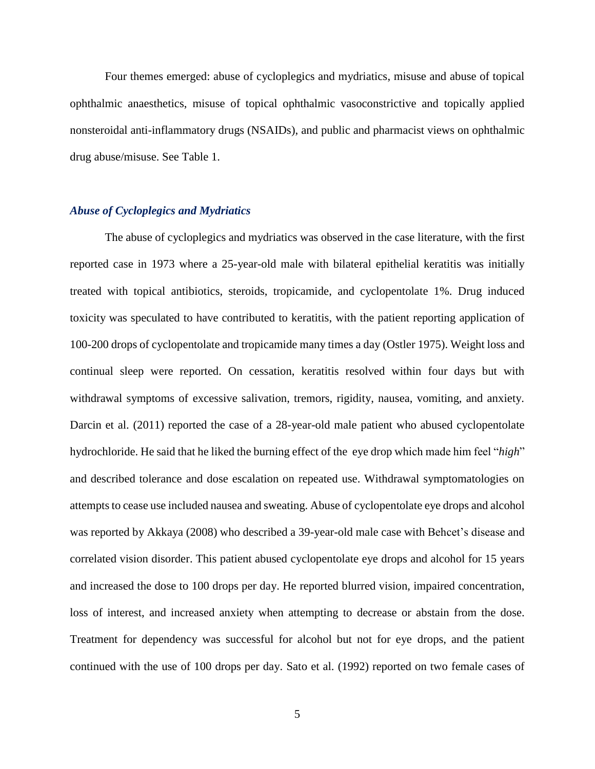Four themes emerged: abuse of cycloplegics and mydriatics, misuse and abuse of topical ophthalmic anaesthetics, misuse of topical ophthalmic vasoconstrictive and topically applied nonsteroidal anti-inflammatory drugs (NSAIDs), and public and pharmacist views on ophthalmic drug abuse/misuse. See Table 1.

#### *Abuse of Cycloplegics and Mydriatics*

The abuse of cycloplegics and mydriatics was observed in the case literature, with the first reported case in 1973 where a 25-year-old male with bilateral epithelial keratitis was initially treated with topical antibiotics, steroids, tropicamide, and cyclopentolate 1%. Drug induced toxicity was speculated to have contributed to keratitis, with the patient reporting application of 100-200 drops of cyclopentolate and tropicamide many times a day (Ostler 1975). Weight loss and continual sleep were reported. On cessation, keratitis resolved within four days but with withdrawal symptoms of excessive salivation, tremors, rigidity, nausea, vomiting, and anxiety. Darcin et al. (2011) reported the case of a 28-year-old male patient who abused cyclopentolate hydrochloride. He said that he liked the burning effect of the eye drop which made him feel "*high*" and described tolerance and dose escalation on repeated use. Withdrawal symptomatologies on attempts to cease use included nausea and sweating. Abuse of cyclopentolate eye drops and alcohol was reported by Akkaya (2008) who described a 39-year-old male case with Behcet's disease and correlated vision disorder. This patient abused cyclopentolate eye drops and alcohol for 15 years and increased the dose to 100 drops per day. He reported blurred vision, impaired concentration, loss of interest, and increased anxiety when attempting to decrease or abstain from the dose. Treatment for dependency was successful for alcohol but not for eye drops, and the patient continued with the use of 100 drops per day. Sato et al. (1992) reported on two female cases of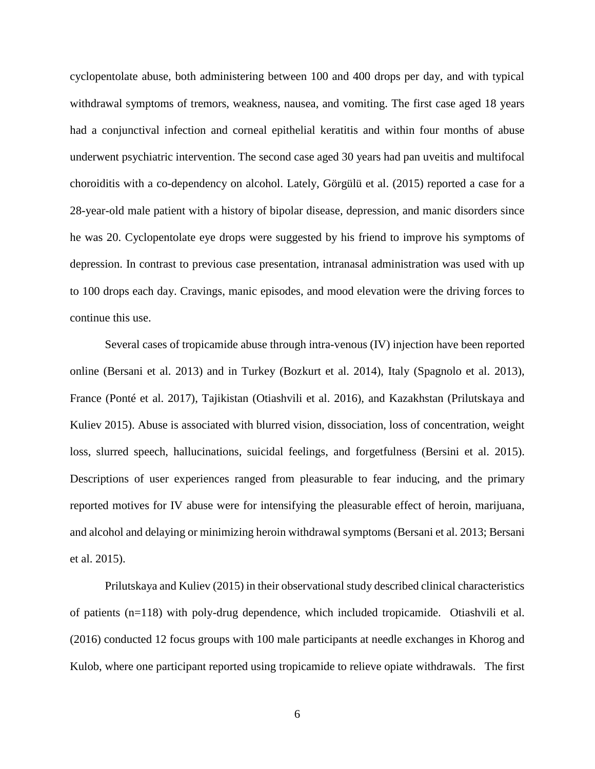cyclopentolate abuse, both administering between 100 and 400 drops per day, and with typical withdrawal symptoms of tremors, weakness, nausea, and vomiting. The first case aged 18 years had a conjunctival infection and corneal epithelial keratitis and within four months of abuse underwent psychiatric intervention. The second case aged 30 years had pan uveitis and multifocal choroiditis with a co-dependency on alcohol. Lately, Görgülü et al. (2015) reported a case for a 28-year-old male patient with a history of bipolar disease, depression, and manic disorders since he was 20. Cyclopentolate eye drops were suggested by his friend to improve his symptoms of depression. In contrast to previous case presentation, intranasal administration was used with up to 100 drops each day. Cravings, manic episodes, and mood elevation were the driving forces to continue this use.

Several cases of tropicamide abuse through intra-venous (IV) injection have been reported online (Bersani et al. 2013) and in Turkey (Bozkurt et al. 2014), Italy (Spagnolo et al. 2013), France (Ponté et al. 2017), Tajikistan (Otiashvili et al. 2016), and Kazakhstan (Prilutskaya and Kuliev 2015). Abuse is associated with blurred vision, dissociation, loss of concentration, weight loss, slurred speech, hallucinations, suicidal feelings, and forgetfulness (Bersini et al. 2015). Descriptions of user experiences ranged from pleasurable to fear inducing, and the primary reported motives for IV abuse were for intensifying the pleasurable effect of heroin, marijuana, and alcohol and delaying or minimizing heroin withdrawal symptoms (Bersani et al. 2013; Bersani et al. 2015).

Prilutskaya and Kuliev (2015) in their observational study described clinical characteristics of patients (n=118) with poly-drug dependence, which included tropicamide. Otiashvili et al. (2016) conducted 12 focus groups with 100 male participants at needle exchanges in Khorog and Kulob, where one participant reported using tropicamide to relieve opiate withdrawals. The first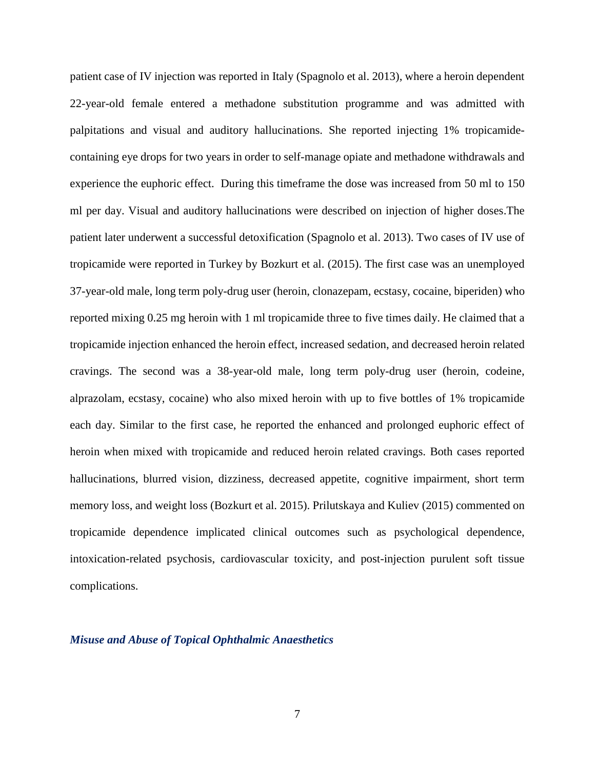patient case of IV injection was reported in Italy (Spagnolo et al. 2013), where a heroin dependent 22-year-old female entered a methadone substitution programme and was admitted with palpitations and visual and auditory hallucinations. She reported injecting 1% tropicamidecontaining eye drops for two years in order to self-manage opiate and methadone withdrawals and experience the euphoric effect. During this timeframe the dose was increased from 50 ml to 150 ml per day. Visual and auditory hallucinations were described on injection of higher doses.The patient later underwent a successful detoxification (Spagnolo et al. 2013). Two cases of IV use of tropicamide were reported in Turkey by Bozkurt et al. (2015). The first case was an unemployed 37-year-old male, long term poly-drug user (heroin, clonazepam, ecstasy, cocaine, biperiden) who reported mixing 0.25 mg heroin with 1 ml tropicamide three to five times daily. He claimed that a tropicamide injection enhanced the heroin effect, increased sedation, and decreased heroin related cravings. The second was a 38-year-old male, long term poly-drug user (heroin, codeine, alprazolam, ecstasy, cocaine) who also mixed heroin with up to five bottles of 1% tropicamide each day. Similar to the first case, he reported the enhanced and prolonged euphoric effect of heroin when mixed with tropicamide and reduced heroin related cravings. Both cases reported hallucinations, blurred vision, dizziness, decreased appetite, cognitive impairment, short term memory loss, and weight loss (Bozkurt et al. 2015). Prilutskaya and Kuliev (2015) commented on tropicamide dependence implicated clinical outcomes such as psychological dependence, intoxication-related psychosis, cardiovascular toxicity, and post-injection purulent soft tissue complications.

#### *Misuse and Abuse of Topical Ophthalmic Anaesthetics*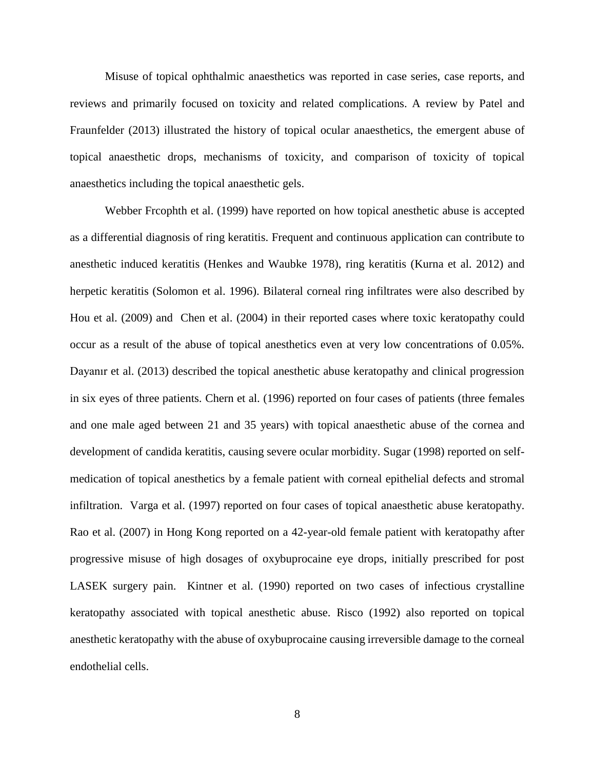Misuse of topical ophthalmic anaesthetics was reported in case series, case reports, and reviews and primarily focused on toxicity and related complications. A review by Patel and Fraunfelder (2013) illustrated the history of topical ocular anaesthetics, the emergent abuse of topical anaesthetic drops, mechanisms of toxicity, and comparison of toxicity of topical anaesthetics including the topical anaesthetic gels.

Webber Frcophth et al. (1999) have reported on how topical anesthetic abuse is accepted as a differential diagnosis of ring keratitis. Frequent and continuous application can contribute to anesthetic induced keratitis (Henkes and Waubke 1978), ring keratitis (Kurna et al. 2012) and herpetic keratitis (Solomon et al. 1996). Bilateral corneal ring infiltrates were also described by Hou et al. (2009) and Chen et al. (2004) in their reported cases where toxic keratopathy could occur as a result of the abuse of topical anesthetics even at very low concentrations of 0.05%. Dayanır et al. (2013) described the topical anesthetic abuse keratopathy and clinical progression in six eyes of three patients. Chern et al. (1996) reported on four cases of patients (three females and one male aged between 21 and 35 years) with topical anaesthetic abuse of the cornea and development of candida keratitis, causing severe ocular morbidity. Sugar (1998) reported on selfmedication of topical anesthetics by a female patient with corneal epithelial defects and stromal infiltration. Varga et al. (1997) reported on four cases of topical anaesthetic abuse keratopathy. Rao et al. (2007) in Hong Kong reported on a 42-year-old female patient with keratopathy after progressive misuse of high dosages of oxybuprocaine eye drops, initially prescribed for post LASEK surgery pain. Kintner et al. (1990) reported on two cases of infectious crystalline keratopathy associated with topical anesthetic abuse. Risco (1992) also reported on topical anesthetic keratopathy with the abuse of oxybuprocaine causing irreversible damage to the corneal endothelial cells.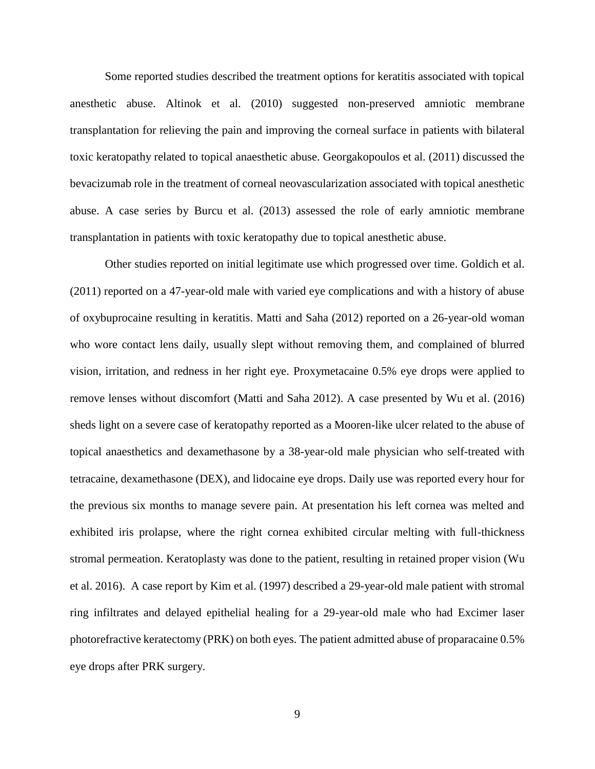Some reported studies described the treatment options for keratitis associated with topical anesthetic abuse. Altinok et al. (2010) suggested non-preserved amniotic membrane transplantation for relieving the pain and improving the corneal surface in patients with bilateral toxic keratopathy related to topical anaesthetic abuse. Georgakopoulos et al. (2011) discussed the bevacizumab role in the treatment of corneal neovascularization associated with topical anesthetic abuse. A case series by Burcu et al. (2013) assessed the role of early amniotic membrane transplantation in patients with toxic keratopathy due to topical anesthetic abuse.

Other studies reported on initial legitimate use which progressed over time. Goldich et al. (2011) reported on a 47-year-old male with varied eye complications and with a history of abuse of oxybuprocaine resulting in keratitis. Matti and Saha (2012) reported on a 26-year-old woman who wore contact lens daily, usually slept without removing them, and complained of blurred vision, irritation, and redness in her right eye. Proxymetacaine 0.5% eye drops were applied to remove lenses without discomfort (Matti and Saha 2012). A case presented by Wu et al. (2016) sheds light on a severe case of keratopathy reported as a Mooren-like ulcer related to the abuse of topical anaesthetics and dexamethasone by a 38-year-old male physician who self-treated with tetracaine, dexamethasone (DEX), and lidocaine eye drops. Daily use was reported every hour for the previous six months to manage severe pain. At presentation his left cornea was melted and exhibited iris prolapse, where the right cornea exhibited circular melting with full-thickness stromal permeation. Keratoplasty was done to the patient, resulting in retained proper vision (Wu et al. 2016). A case report by Kim et al. (1997) described a 29-year-old male patient with stromal ring infiltrates and delayed epithelial healing for a 29-year-old male who had Excimer laser photorefractive keratectomy (PRK) on both eyes. The patient admitted abuse of proparacaine 0.5% eye drops after PRK surgery.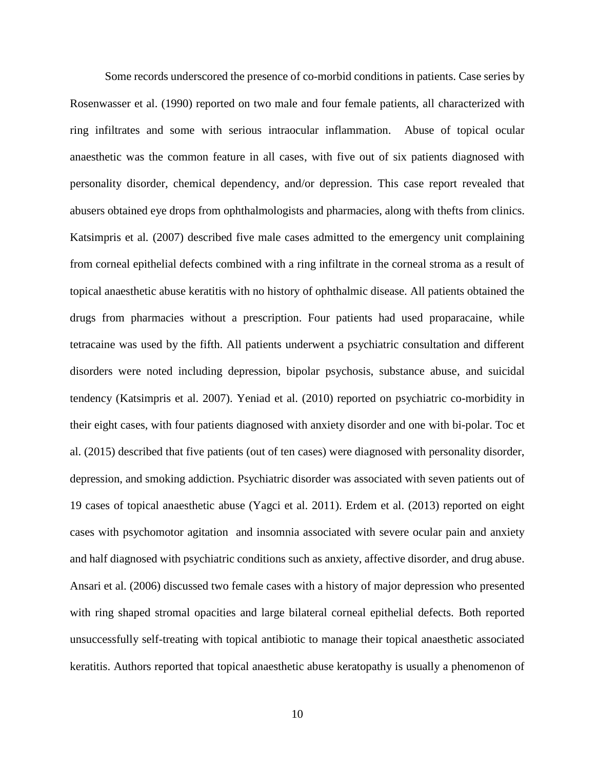Some records underscored the presence of co-morbid conditions in patients. Case series by Rosenwasser et al. (1990) reported on two male and four female patients, all characterized with ring infiltrates and some with serious intraocular inflammation. Abuse of topical ocular anaesthetic was the common feature in all cases, with five out of six patients diagnosed with personality disorder, chemical dependency, and/or depression. This case report revealed that abusers obtained eye drops from ophthalmologists and pharmacies, along with thefts from clinics. Katsimpris et al*.* (2007) described five male cases admitted to the emergency unit complaining from corneal epithelial defects combined with a ring infiltrate in the corneal stroma as a result of topical anaesthetic abuse keratitis with no history of ophthalmic disease. All patients obtained the drugs from pharmacies without a prescription. Four patients had used proparacaine, while tetracaine was used by the fifth. All patients underwent a psychiatric consultation and different disorders were noted including depression, bipolar psychosis, substance abuse, and suicidal tendency (Katsimpris et al. 2007). Yeniad et al. (2010) reported on psychiatric co-morbidity in their eight cases, with four patients diagnosed with anxiety disorder and one with bi-polar. Toc et al. (2015) described that five patients (out of ten cases) were diagnosed with personality disorder, depression, and smoking addiction. Psychiatric disorder was associated with seven patients out of 19 cases of topical anaesthetic abuse (Yagci et al. 2011). Erdem et al. (2013) reported on eight cases with psychomotor agitation and insomnia associated with severe ocular pain and anxiety and half diagnosed with psychiatric conditions such as anxiety, affective disorder, and drug abuse. Ansari et al. (2006) discussed two female cases with a history of major depression who presented with ring shaped stromal opacities and large bilateral corneal epithelial defects. Both reported unsuccessfully self-treating with topical antibiotic to manage their topical anaesthetic associated keratitis. Authors reported that topical anaesthetic abuse keratopathy is usually a phenomenon of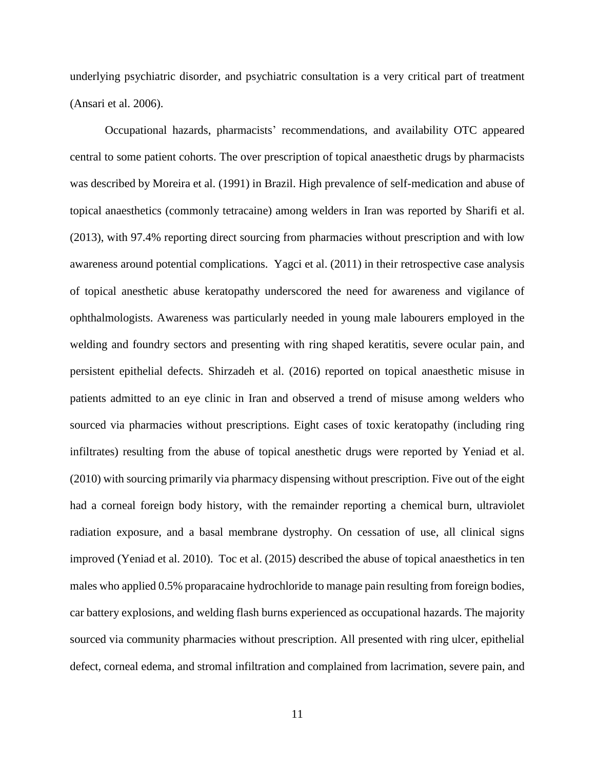underlying psychiatric disorder, and psychiatric consultation is a very critical part of treatment (Ansari et al. 2006).

Occupational hazards, pharmacists' recommendations, and availability OTC appeared central to some patient cohorts. The over prescription of topical anaesthetic drugs by pharmacists was described by Moreira et al. (1991) in Brazil. High prevalence of self-medication and abuse of topical anaesthetics (commonly tetracaine) among welders in Iran was reported by Sharifi et al. (2013), with 97.4% reporting direct sourcing from pharmacies without prescription and with low awareness around potential complications. Yagci et al. (2011) in their retrospective case analysis of topical anesthetic abuse keratopathy underscored the need for awareness and vigilance of ophthalmologists. Awareness was particularly needed in young male labourers employed in the welding and foundry sectors and presenting with ring shaped keratitis, severe ocular pain, and persistent epithelial defects. Shirzadeh et al. (2016) reported on topical anaesthetic misuse in patients admitted to an eye clinic in Iran and observed a trend of misuse among welders who sourced via pharmacies without prescriptions. Eight cases of toxic keratopathy (including ring infiltrates) resulting from the abuse of topical anesthetic drugs were reported by Yeniad et al. (2010) with sourcing primarily via pharmacy dispensing without prescription. Five out of the eight had a corneal foreign body history, with the remainder reporting a chemical burn, ultraviolet radiation exposure, and a basal membrane dystrophy. On cessation of use, all clinical signs improved (Yeniad et al. 2010). Toc et al. (2015) described the abuse of topical anaesthetics in ten males who applied 0.5% proparacaine hydrochloride to manage pain resulting from foreign bodies, car battery explosions, and welding flash burns experienced as occupational hazards. The majority sourced via community pharmacies without prescription. All presented with ring ulcer, epithelial defect, corneal edema, and stromal infiltration and complained from lacrimation, severe pain, and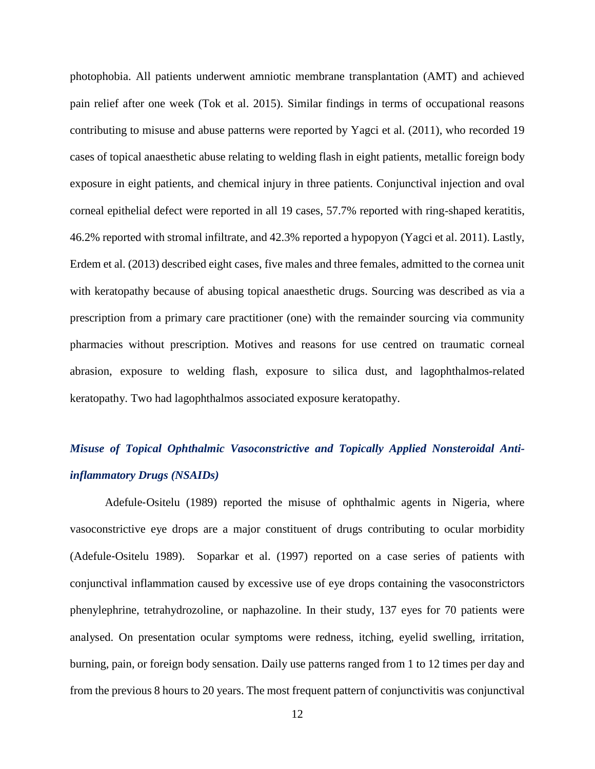photophobia. All patients underwent amniotic membrane transplantation (AMT) and achieved pain relief after one week (Tok et al. 2015). Similar findings in terms of occupational reasons contributing to misuse and abuse patterns were reported by Yagci et al. (2011), who recorded 19 cases of topical anaesthetic abuse relating to welding flash in eight patients, metallic foreign body exposure in eight patients, and chemical injury in three patients. Conjunctival injection and oval corneal epithelial defect were reported in all 19 cases, 57.7% reported with ring-shaped keratitis, 46.2% reported with stromal infiltrate, and 42.3% reported a hypopyon (Yagci et al. 2011). Lastly, Erdem et al. (2013) described eight cases, five males and three females, admitted to the cornea unit with keratopathy because of abusing topical anaesthetic drugs. Sourcing was described as via a prescription from a primary care practitioner (one) with the remainder sourcing via community pharmacies without prescription. Motives and reasons for use centred on traumatic corneal abrasion, exposure to welding flash, exposure to silica dust, and lagophthalmos-related keratopathy. Two had lagophthalmos associated exposure keratopathy.

## *Misuse of Topical Ophthalmic Vasoconstrictive and Topically Applied Nonsteroidal Antiinflammatory Drugs (NSAIDs)*

Adefule‐Ositelu (1989) reported the misuse of ophthalmic agents in Nigeria, where vasoconstrictive eye drops are a major constituent of drugs contributing to ocular morbidity (Adefule‐Ositelu 1989). Soparkar et al. (1997) reported on a case series of patients with conjunctival inflammation caused by excessive use of eye drops containing the vasoconstrictors phenylephrine, tetrahydrozoline, or naphazoline. In their study, 137 eyes for 70 patients were analysed. On presentation ocular symptoms were redness, itching, eyelid swelling, irritation, burning, pain, or foreign body sensation. Daily use patterns ranged from 1 to 12 times per day and from the previous 8 hours to 20 years. The most frequent pattern of conjunctivitis was conjunctival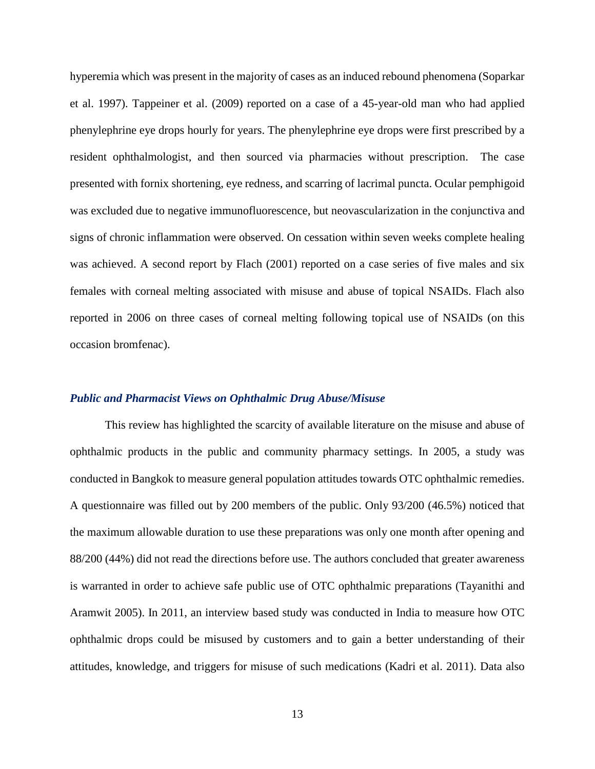hyperemia which was present in the majority of cases as an induced rebound phenomena (Soparkar et al. 1997). Tappeiner et al. (2009) reported on a case of a 45-year-old man who had applied phenylephrine eye drops hourly for years. The phenylephrine eye drops were first prescribed by a resident ophthalmologist, and then sourced via pharmacies without prescription. The case presented with fornix shortening, eye redness, and scarring of lacrimal puncta. Ocular pemphigoid was excluded due to negative immunofluorescence, but neovascularization in the conjunctiva and signs of chronic inflammation were observed. On cessation within seven weeks complete healing was achieved. A second report by Flach (2001) reported on a case series of five males and six females with corneal melting associated with misuse and abuse of topical NSAIDs. Flach also reported in 2006 on three cases of corneal melting following topical use of NSAIDs (on this occasion bromfenac).

#### *Public and Pharmacist Views on Ophthalmic Drug Abuse/Misuse*

This review has highlighted the scarcity of available literature on the misuse and abuse of ophthalmic products in the public and community pharmacy settings. In 2005, a study was conducted in Bangkok to measure general population attitudes towards OTC ophthalmic remedies. A questionnaire was filled out by 200 members of the public. Only 93/200 (46.5%) noticed that the maximum allowable duration to use these preparations was only one month after opening and 88/200 (44%) did not read the directions before use. The authors concluded that greater awareness is warranted in order to achieve safe public use of OTC ophthalmic preparations (Tayanithi and Aramwit 2005). In 2011, an interview based study was conducted in India to measure how OTC ophthalmic drops could be misused by customers and to gain a better understanding of their attitudes, knowledge, and triggers for misuse of such medications (Kadri et al. 2011). Data also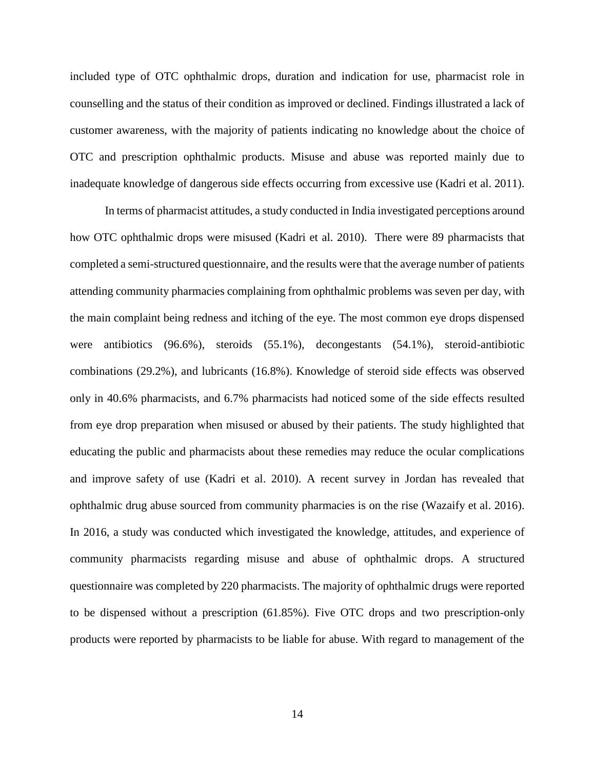included type of OTC ophthalmic drops, duration and indication for use, pharmacist role in counselling and the status of their condition as improved or declined. Findings illustrated a lack of customer awareness, with the majority of patients indicating no knowledge about the choice of OTC and prescription ophthalmic products. Misuse and abuse was reported mainly due to inadequate knowledge of dangerous side effects occurring from excessive use (Kadri et al. 2011).

In terms of pharmacist attitudes, a study conducted in India investigated perceptions around how OTC ophthalmic drops were misused (Kadri et al. 2010). There were 89 pharmacists that completed a semi-structured questionnaire, and the results were that the average number of patients attending community pharmacies complaining from ophthalmic problems was seven per day, with the main complaint being redness and itching of the eye. The most common eye drops dispensed were antibiotics (96.6%), steroids (55.1%), decongestants (54.1%), steroid-antibiotic combinations (29.2%), and lubricants (16.8%). Knowledge of steroid side effects was observed only in 40.6% pharmacists, and 6.7% pharmacists had noticed some of the side effects resulted from eye drop preparation when misused or abused by their patients. The study highlighted that educating the public and pharmacists about these remedies may reduce the ocular complications and improve safety of use (Kadri et al. 2010). A recent survey in Jordan has revealed that ophthalmic drug abuse sourced from community pharmacies is on the rise (Wazaify et al. 2016). In 2016, a study was conducted which investigated the knowledge, attitudes, and experience of community pharmacists regarding misuse and abuse of ophthalmic drops. A structured questionnaire was completed by 220 pharmacists. The majority of ophthalmic drugs were reported to be dispensed without a prescription (61.85%). Five OTC drops and two prescription-only products were reported by pharmacists to be liable for abuse. With regard to management of the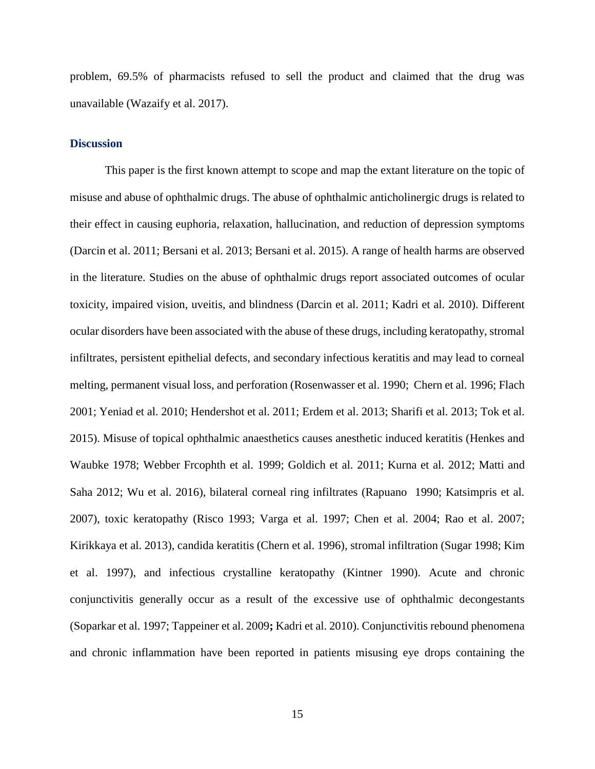problem, 69.5% of pharmacists refused to sell the product and claimed that the drug was unavailable (Wazaify et al. 2017).

### **Discussion**

This paper is the first known attempt to scope and map the extant literature on the topic of misuse and abuse of ophthalmic drugs. The abuse of ophthalmic anticholinergic drugs is related to their effect in causing euphoria, relaxation, hallucination, and reduction of depression symptoms (Darcin et al. 2011; Bersani et al. 2013; Bersani et al. 2015). A range of health harms are observed in the literature. Studies on the abuse of ophthalmic drugs report associated outcomes of ocular toxicity, impaired vision, uveitis, and blindness (Darcin et al. 2011; Kadri et al. 2010). Different ocular disorders have been associated with the abuse of these drugs, including keratopathy, stromal infiltrates, persistent epithelial defects, and secondary infectious keratitis and may lead to corneal melting, permanent visual loss, and perforation (Rosenwasser et al. 1990; Chern et al. 1996; Flach 2001; Yeniad et al. 2010; Hendershot et al. 2011; Erdem et al. 2013; Sharifi et al. 2013; Tok et al. 2015). Misuse of topical ophthalmic anaesthetics causes anesthetic induced keratitis (Henkes and Waubke 1978; Webber Frcophth et al. 1999; Goldich et al. 2011; Kurna et al. 2012; Matti and Saha 2012; Wu et al. 2016), bilateral corneal ring infiltrates (Rapuano 1990; Katsimpris et al*.*  2007), toxic keratopathy (Risco 1993; Varga et al. 1997; Chen et al. 2004; Rao et al. 2007; Kirikkaya et al. 2013), candida keratitis (Chern et al. 1996), stromal infiltration (Sugar 1998; Kim et al. 1997), and infectious crystalline keratopathy (Kintner 1990). Acute and chronic conjunctivitis generally occur as a result of the excessive use of ophthalmic decongestants (Soparkar et al. 1997; Tappeiner et al. 2009**;** Kadri et al. 2010). Conjunctivitis rebound phenomena and chronic inflammation have been reported in patients misusing eye drops containing the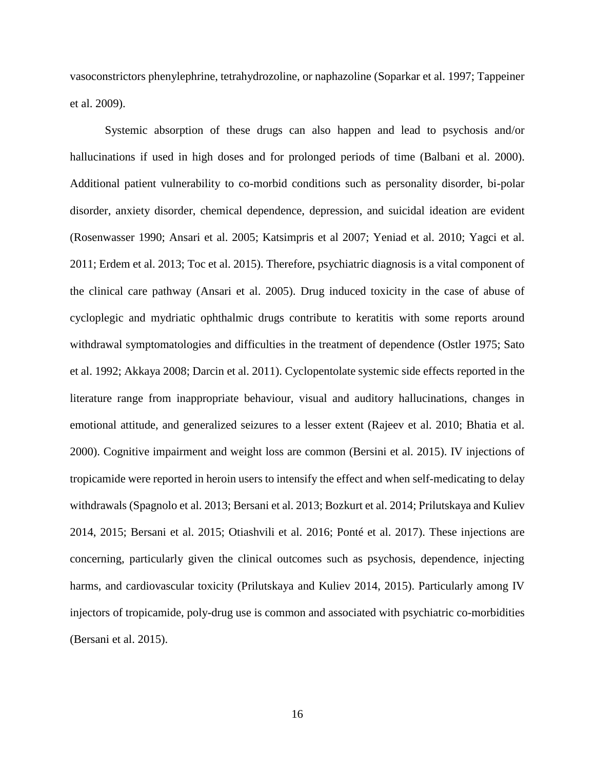vasoconstrictors phenylephrine, tetrahydrozoline, or naphazoline (Soparkar et al. 1997; Tappeiner et al. 2009).

Systemic absorption of these drugs can also happen and lead to psychosis and/or hallucinations if used in high doses and for prolonged periods of time (Balbani et al. 2000). Additional patient vulnerability to co-morbid conditions such as personality disorder, bi-polar disorder, anxiety disorder, chemical dependence, depression, and suicidal ideation are evident (Rosenwasser 1990; Ansari et al. 2005; Katsimpris et al 2007; Yeniad et al. 2010; Yagci et al. 2011; Erdem et al. 2013; Toc et al. 2015). Therefore, psychiatric diagnosis is a vital component of the clinical care pathway (Ansari et al. 2005). Drug induced toxicity in the case of abuse of cycloplegic and mydriatic ophthalmic drugs contribute to keratitis with some reports around withdrawal symptomatologies and difficulties in the treatment of dependence (Ostler 1975; Sato et al. 1992; Akkaya 2008; Darcin et al. 2011). Cyclopentolate systemic side effects reported in the literature range from inappropriate behaviour, visual and auditory hallucinations, changes in emotional attitude, and generalized seizures to a lesser extent (Rajeev et al. 2010; Bhatia et al. 2000). Cognitive impairment and weight loss are common (Bersini et al. 2015). IV injections of tropicamide were reported in heroin users to intensify the effect and when self-medicating to delay withdrawals (Spagnolo et al. 2013; Bersani et al. 2013; Bozkurt et al. 2014; Prilutskaya and Kuliev 2014, 2015; Bersani et al. 2015; Otiashvili et al. 2016; Ponté et al. 2017). These injections are concerning, particularly given the clinical outcomes such as psychosis, dependence, injecting harms, and cardiovascular toxicity (Prilutskaya and Kuliev 2014, 2015). Particularly among IV injectors of tropicamide, poly-drug use is common and associated with psychiatric co-morbidities (Bersani et al. 2015).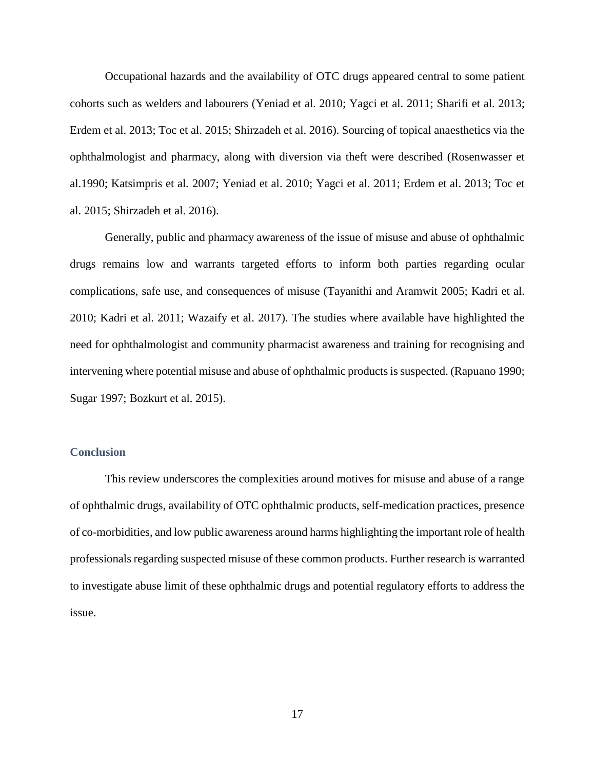Occupational hazards and the availability of OTC drugs appeared central to some patient cohorts such as welders and labourers (Yeniad et al. 2010; Yagci et al. 2011; Sharifi et al. 2013; Erdem et al. 2013; Toc et al. 2015; Shirzadeh et al. 2016). Sourcing of topical anaesthetics via the ophthalmologist and pharmacy, along with diversion via theft were described (Rosenwasser et al.1990; Katsimpris et al*.* 2007; Yeniad et al. 2010; Yagci et al. 2011; Erdem et al. 2013; Toc et al. 2015; Shirzadeh et al. 2016).

Generally, public and pharmacy awareness of the issue of misuse and abuse of ophthalmic drugs remains low and warrants targeted efforts to inform both parties regarding ocular complications, safe use, and consequences of misuse (Tayanithi and Aramwit 2005; Kadri et al. 2010; Kadri et al. 2011; Wazaify et al. 2017). The studies where available have highlighted the need for ophthalmologist and community pharmacist awareness and training for recognising and intervening where potential misuse and abuse of ophthalmic products is suspected. (Rapuano 1990; Sugar 1997; Bozkurt et al. 2015).

#### **Conclusion**

This review underscores the complexities around motives for misuse and abuse of a range of ophthalmic drugs, availability of OTC ophthalmic products, self-medication practices, presence of co-morbidities, and low public awareness around harms highlighting the important role of health professionals regarding suspected misuse of these common products. Further research is warranted to investigate abuse limit of these ophthalmic drugs and potential regulatory efforts to address the issue.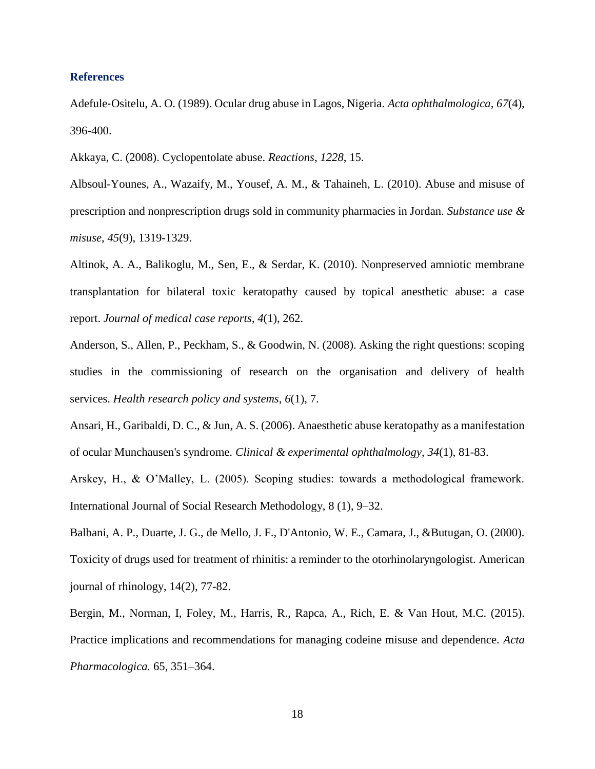#### **References**

Adefule‐Ositelu, A. O. (1989). Ocular drug abuse in Lagos, Nigeria. *Acta ophthalmologica*, *67*(4), 396-400.

Akkaya, C. (2008). Cyclopentolate abuse. *Reactions*, *1228*, 15.

Albsoul-Younes, A., Wazaify, M., Yousef, A. M., & Tahaineh, L. (2010). Abuse and misuse of prescription and nonprescription drugs sold in community pharmacies in Jordan. *Substance use & misuse*, *45*(9), 1319-1329.

Altinok, A. A., Balikoglu, M., Sen, E., & Serdar, K. (2010). Nonpreserved amniotic membrane transplantation for bilateral toxic keratopathy caused by topical anesthetic abuse: a case report. *Journal of medical case reports*, *4*(1), 262.

Anderson, S., Allen, P., Peckham, S., & Goodwin, N. (2008). Asking the right questions: scoping studies in the commissioning of research on the organisation and delivery of health services. *Health research policy and systems*, *6*(1), 7.

Ansari, H., Garibaldi, D. C., & Jun, A. S. (2006). Anaesthetic abuse keratopathy as a manifestation of ocular Munchausen's syndrome. *Clinical & experimental ophthalmology*, *34*(1), 81-83.

Arskey, H., & O'Malley, L. (2005). Scoping studies: towards a methodological framework. International Journal of Social Research Methodology, 8 (1), 9–32.

Balbani, A. P., Duarte, J. G., de Mello, J. F., D'Antonio, W. E., Camara, J., &Butugan, O. (2000). Toxicity of drugs used for treatment of rhinitis: a reminder to the otorhinolaryngologist. American journal of rhinology, 14(2), 77-82.

Bergin, M., Norman, I, Foley, M., Harris, R., Rapca, A., Rich, E. & Van Hout, M.C. (2015). Practice implications and recommendations for managing codeine misuse and dependence. *Acta Pharmacologica.* 65, 351–364.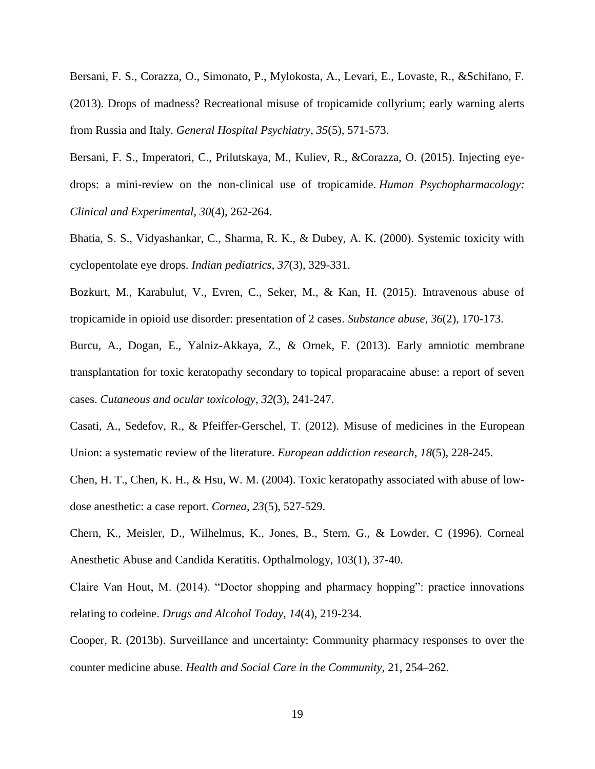Bersani, F. S., Corazza, O., Simonato, P., Mylokosta, A., Levari, E., Lovaste, R., &Schifano, F. (2013). Drops of madness? Recreational misuse of tropicamide collyrium; early warning alerts from Russia and Italy. *General Hospital Psychiatry*, *35*(5), 571-573.

Bersani, F. S., Imperatori, C., Prilutskaya, M., Kuliev, R., &Corazza, O. (2015). Injecting eyedrops: a mini‐review on the non‐clinical use of tropicamide. *Human Psychopharmacology: Clinical and Experimental*, *30*(4), 262-264.

Bhatia, S. S., Vidyashankar, C., Sharma, R. K., & Dubey, A. K. (2000). Systemic toxicity with cyclopentolate eye drops. *Indian pediatrics*, *37*(3), 329-331.

Bozkurt, M., Karabulut, V., Evren, C., Seker, M., & Kan, H. (2015). Intravenous abuse of tropicamide in opioid use disorder: presentation of 2 cases. *Substance abuse*, *36*(2), 170-173.

Burcu, A., Dogan, E., Yalniz-Akkaya, Z., & Ornek, F. (2013). Early amniotic membrane transplantation for toxic keratopathy secondary to topical proparacaine abuse: a report of seven cases. *Cutaneous and ocular toxicology*, *32*(3), 241-247.

Casati, A., Sedefov, R., & Pfeiffer-Gerschel, T. (2012). Misuse of medicines in the European Union: a systematic review of the literature. *European addiction research*, *18*(5), 228-245.

Chen, H. T., Chen, K. H., & Hsu, W. M. (2004). Toxic keratopathy associated with abuse of lowdose anesthetic: a case report. *Cornea*, *23*(5), 527-529.

Chern, K., Meisler, D., Wilhelmus, K., Jones, B., Stern, G., & Lowder, C (1996). Corneal Anesthetic Abuse and Candida Keratitis. Opthalmology, 103(1), 37-40.

Claire Van Hout, M. (2014). "Doctor shopping and pharmacy hopping": practice innovations relating to codeine. *Drugs and Alcohol Today*, *14*(4), 219-234.

Cooper, R. (2013b). Surveillance and uncertainty: Community pharmacy responses to over the counter medicine abuse. *Health and Social Care in the Community,* 21, 254–262.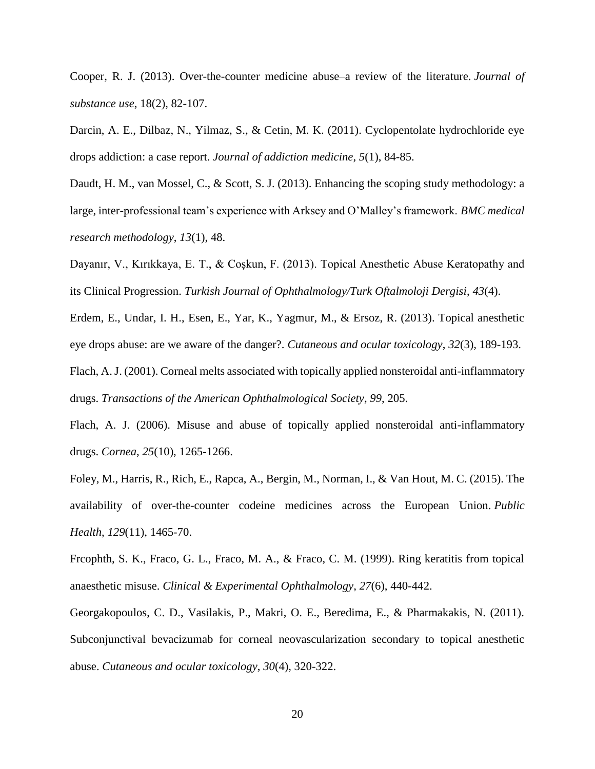Cooper, R. J. (2013). Over-the-counter medicine abuse–a review of the literature. *Journal of substance use*, 18(2), 82-107.

Darcin, A. E., Dilbaz, N., Yilmaz, S., & Cetin, M. K. (2011). Cyclopentolate hydrochloride eye drops addiction: a case report. *Journal of addiction medicine*, *5*(1), 84-85.

Daudt, H. M., van Mossel, C., & Scott, S. J. (2013). Enhancing the scoping study methodology: a large, inter-professional team's experience with Arksey and O'Malley's framework. *BMC medical research methodology*, *13*(1), 48.

Dayanır, V., Kırıkkaya, E. T., & Coşkun, F. (2013). Topical Anesthetic Abuse Keratopathy and its Clinical Progression. *Turkish Journal of Ophthalmology/Turk Oftalmoloji Dergisi*, *43*(4).

Erdem, E., Undar, I. H., Esen, E., Yar, K., Yagmur, M., & Ersoz, R. (2013). Topical anesthetic eye drops abuse: are we aware of the danger?. *Cutaneous and ocular toxicology*, *32*(3), 189-193.

Flach, A. J. (2001). Corneal melts associated with topically applied nonsteroidal anti-inflammatory drugs. *Transactions of the American Ophthalmological Society*, *99*, 205.

Flach, A. J. (2006). Misuse and abuse of topically applied nonsteroidal anti-inflammatory drugs. *Cornea*, *25*(10), 1265-1266.

Foley, M., Harris, R., Rich, E., Rapca, A., Bergin, M., Norman, I., & Van Hout, M. C. (2015). The availability of over-the-counter codeine medicines across the European Union. *Public Health*, *129*(11), 1465-70.

Frcophth, S. K., Fraco, G. L., Fraco, M. A., & Fraco, C. M. (1999). Ring keratitis from topical anaesthetic misuse. *Clinical & Experimental Ophthalmology*, *27*(6), 440-442.

Georgakopoulos, C. D., Vasilakis, P., Makri, O. E., Beredima, E., & Pharmakakis, N. (2011). Subconjunctival bevacizumab for corneal neovascularization secondary to topical anesthetic abuse. *Cutaneous and ocular toxicology*, *30*(4), 320-322.

20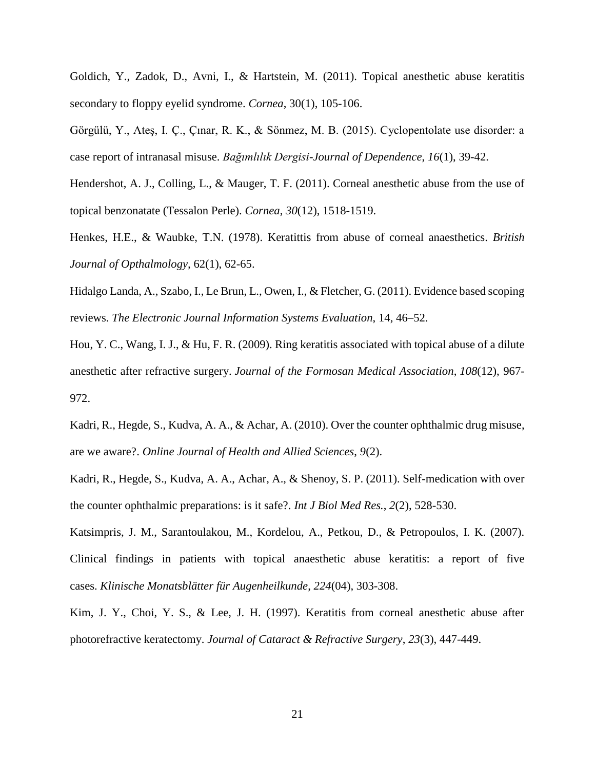Goldich, Y., Zadok, D., Avni, I., & Hartstein, M. (2011). Topical anesthetic abuse keratitis secondary to floppy eyelid syndrome. *Cornea*, 30(1), 105-106.

Görgülü, Y., Ateş, I. Ç., Çınar, R. K., & Sönmez, M. B. (2015). Cyclopentolate use disorder: a case report of intranasal misuse. *Bağımlılık Dergisi-Journal of Dependence*, *16*(1), 39-42.

Hendershot, A. J., Colling, L., & Mauger, T. F. (2011). Corneal anesthetic abuse from the use of topical benzonatate (Tessalon Perle). *Cornea*, *30*(12), 1518-1519.

Henkes, H.E., & Waubke, T.N. (1978). Keratittis from abuse of corneal anaesthetics. *British Journal of Opthalmology,* 62(1), 62-65.

Hidalgo Landa, A., Szabo, I., Le Brun, L., Owen, I., & Fletcher, G. (2011). Evidence based scoping reviews. *The Electronic Journal Information Systems Evaluation*, 14, 46–52.

Hou, Y. C., Wang, I. J., & Hu, F. R. (2009). Ring keratitis associated with topical abuse of a dilute anesthetic after refractive surgery. *Journal of the Formosan Medical Association*, *108*(12), 967- 972.

Kadri, R., Hegde, S., Kudva, A. A., & Achar, A. (2010). Over the counter ophthalmic drug misuse, are we aware?. *Online Journal of Health and Allied Sciences*, *9*(2).

Kadri, R., Hegde, S., Kudva, A. A., Achar, A., & Shenoy, S. P. (2011). Self-medication with over the counter ophthalmic preparations: is it safe?. *Int J Biol Med Res.*, *2*(2), 528-530.

Katsimpris, J. M., Sarantoulakou, M., Kordelou, A., Petkou, D., & Petropoulos, I. K. (2007). Clinical findings in patients with topical anaesthetic abuse keratitis: a report of five cases. *Klinische Monatsblätter für Augenheilkunde*, *224*(04), 303-308.

Kim, J. Y., Choi, Y. S., & Lee, J. H. (1997). Keratitis from corneal anesthetic abuse after photorefractive keratectomy. *Journal of Cataract & Refractive Surgery*, *23*(3), 447-449.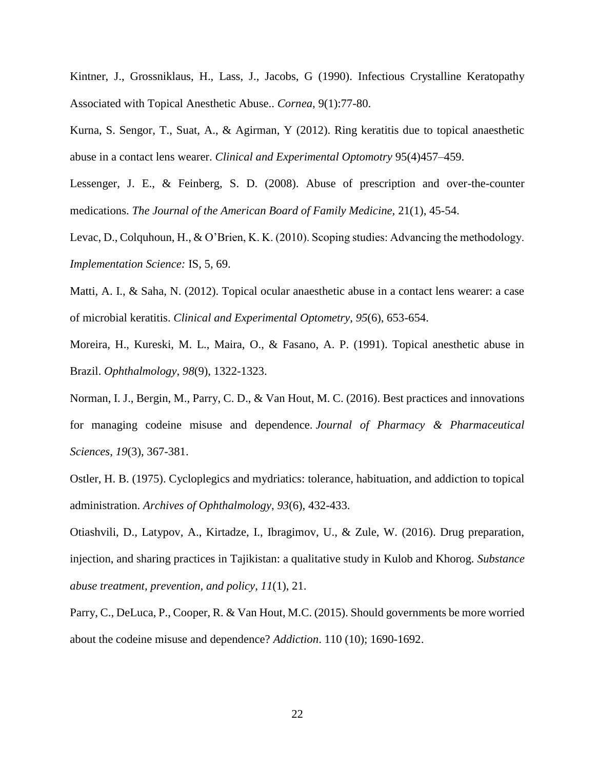Kintner, J., Grossniklaus, H., Lass, J., Jacobs, G (1990). Infectious Crystalline Keratopathy Associated with Topical Anesthetic Abuse.. *Cornea,* 9(1):77-80.

Kurna, S. Sengor, T., Suat, A., & Agirman, Y (2012). Ring keratitis due to topical anaesthetic abuse in a contact lens wearer. *Clinical and Experimental Optomotry* 95(4)457–459.

Lessenger, J. E., & Feinberg, S. D. (2008). Abuse of prescription and over-the-counter medications. *The Journal of the American Board of Family Medicine,* 21(1), 45-54.

Levac, D., Colquhoun, H., & O'Brien, K. K. (2010). Scoping studies: Advancing the methodology. *Implementation Science:* IS, 5, 69.

Matti, A. I., & Saha, N. (2012). Topical ocular anaesthetic abuse in a contact lens wearer: a case of microbial keratitis. *Clinical and Experimental Optometry*, *95*(6), 653-654.

Moreira, H., Kureski, M. L., Maira, O., & Fasano, A. P. (1991). Topical anesthetic abuse in Brazil. *Ophthalmology*, *98*(9), 1322-1323.

Norman, I. J., Bergin, M., Parry, C. D., & Van Hout, M. C. (2016). Best practices and innovations for managing codeine misuse and dependence. *Journal of Pharmacy & Pharmaceutical Sciences*, *19*(3), 367-381.

Ostler, H. B. (1975). Cycloplegics and mydriatics: tolerance, habituation, and addiction to topical administration. *Archives of Ophthalmology*, *93*(6), 432-433.

Otiashvili, D., Latypov, A., Kirtadze, I., Ibragimov, U., & Zule, W. (2016). Drug preparation, injection, and sharing practices in Tajikistan: a qualitative study in Kulob and Khorog. *Substance abuse treatment, prevention, and policy*, *11*(1), 21.

Parry, C., DeLuca, P., Cooper, R. & Van Hout, M.C. (2015). Should governments be more worried about the codeine misuse and dependence? *Addiction*. 110 (10); 1690-1692.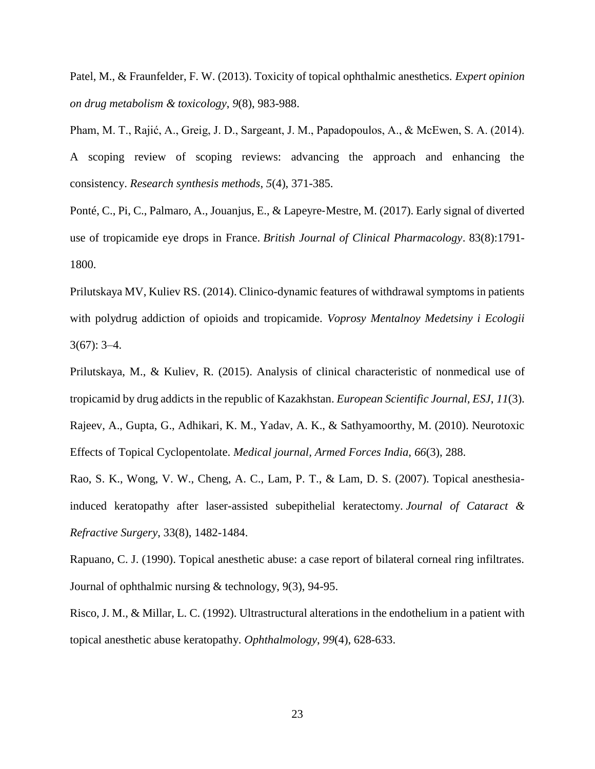Patel, M., & Fraunfelder, F. W. (2013). Toxicity of topical ophthalmic anesthetics. *Expert opinion on drug metabolism & toxicology*, *9*(8), 983-988.

Pham, M. T., Rajić, A., Greig, J. D., Sargeant, J. M., Papadopoulos, A., & McEwen, S. A. (2014). A scoping review of scoping reviews: advancing the approach and enhancing the consistency. *Research synthesis methods*, *5*(4), 371-385.

Ponté, C., Pi, C., Palmaro, A., Jouanjus, E., & Lapeyre‐Mestre, M. (2017). Early signal of diverted use of tropicamide eye drops in France. *British Journal of Clinical Pharmacology*. 83(8):1791- 1800.

Prilutskaya MV, Kuliev RS. (2014). Clinico-dynamic features of withdrawal symptoms in patients with polydrug addiction of opioids and tropicamide. *Voprosy Mentalnoy Medetsiny i Ecologii*  $3(67): 3-4.$ 

Prilutskaya, M., & Kuliev, R. (2015). Analysis of clinical characteristic of nonmedical use of tropicamid by drug addicts in the republic of Kazakhstan. *European Scientific Journal, ESJ*, *11*(3). Rajeev, A., Gupta, G., Adhikari, K. M., Yadav, A. K., & Sathyamoorthy, M. (2010). Neurotoxic Effects of Topical Cyclopentolate. *Medical journal, Armed Forces India*, *66*(3), 288.

Rao, S. K., Wong, V. W., Cheng, A. C., Lam, P. T., & Lam, D. S. (2007). Topical anesthesiainduced keratopathy after laser-assisted subepithelial keratectomy. *Journal of Cataract & Refractive Surgery*, 33(8), 1482-1484.

Rapuano, C. J. (1990). Topical anesthetic abuse: a case report of bilateral corneal ring infiltrates. Journal of ophthalmic nursing & technology, 9(3), 94-95.

Risco, J. M., & Millar, L. C. (1992). Ultrastructural alterations in the endothelium in a patient with topical anesthetic abuse keratopathy. *Ophthalmology*, *99*(4), 628-633.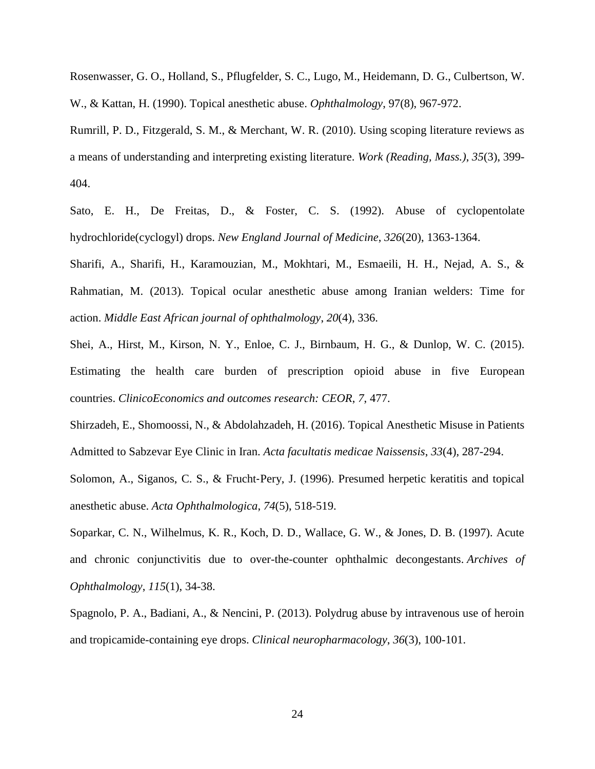Rosenwasser, G. O., Holland, S., Pflugfelder, S. C., Lugo, M., Heidemann, D. G., Culbertson, W. W., & Kattan, H. (1990). Topical anesthetic abuse. *Ophthalmology*, 97(8), 967-972.

Rumrill, P. D., Fitzgerald, S. M., & Merchant, W. R. (2010). Using scoping literature reviews as a means of understanding and interpreting existing literature. *Work (Reading, Mass.)*, *35*(3), 399- 404.

Sato, E. H., De Freitas, D., & Foster, C. S. (1992). Abuse of cyclopentolate hydrochloride(cyclogyl) drops. *New England Journal of Medicine*, *326*(20), 1363-1364.

Sharifi, A., Sharifi, H., Karamouzian, M., Mokhtari, M., Esmaeili, H. H., Nejad, A. S., & Rahmatian, M. (2013). Topical ocular anesthetic abuse among Iranian welders: Time for action. *Middle East African journal of ophthalmology*, *20*(4), 336.

Shei, A., Hirst, M., Kirson, N. Y., Enloe, C. J., Birnbaum, H. G., & Dunlop, W. C. (2015). Estimating the health care burden of prescription opioid abuse in five European countries. *ClinicoEconomics and outcomes research: CEOR*, *7*, 477.

Shirzadeh, E., Shomoossi, N., & Abdolahzadeh, H. (2016). Topical Anesthetic Misuse in Patients Admitted to Sabzevar Eye Clinic in Iran. *Acta facultatis medicae Naissensis*, *33*(4), 287-294.

Solomon, A., Siganos, C. S., & Frucht‐Pery, J. (1996). Presumed herpetic keratitis and topical anesthetic abuse. *Acta Ophthalmologica*, *74*(5), 518-519.

Soparkar, C. N., Wilhelmus, K. R., Koch, D. D., Wallace, G. W., & Jones, D. B. (1997). Acute and chronic conjunctivitis due to over-the-counter ophthalmic decongestants. *Archives of Ophthalmology*, *115*(1), 34-38.

Spagnolo, P. A., Badiani, A., & Nencini, P. (2013). Polydrug abuse by intravenous use of heroin and tropicamide-containing eye drops. *Clinical neuropharmacology*, *36*(3), 100-101.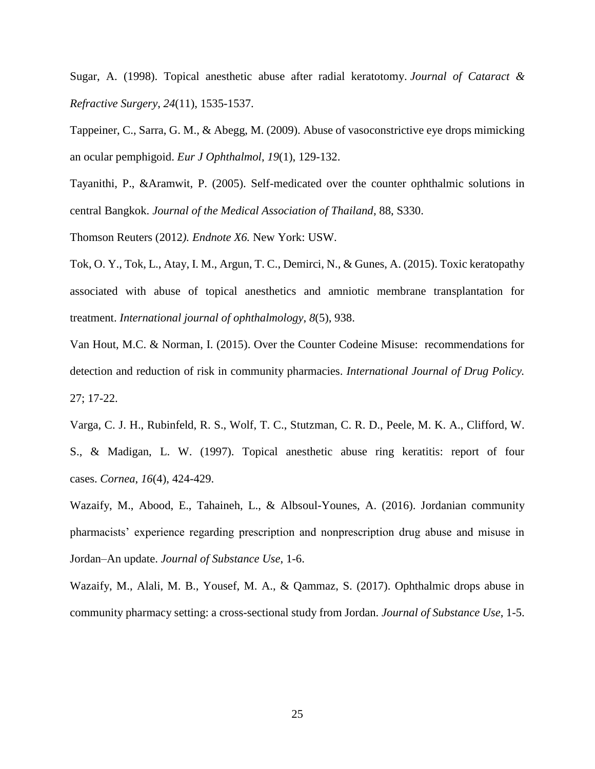Sugar, A. (1998). Topical anesthetic abuse after radial keratotomy. *Journal of Cataract & Refractive Surgery*, *24*(11), 1535-1537.

Tappeiner, C., Sarra, G. M., & Abegg, M. (2009). Abuse of vasoconstrictive eye drops mimicking an ocular pemphigoid. *Eur J Ophthalmol*, *19*(1), 129-132.

Tayanithi, P., &Aramwit, P. (2005). Self-medicated over the counter ophthalmic solutions in central Bangkok. *Journal of the Medical Association of Thailand*, 88, S330.

Thomson Reuters (2012*). Endnote X6.* New York: USW.

Tok, O. Y., Tok, L., Atay, I. M., Argun, T. C., Demirci, N., & Gunes, A. (2015). Toxic keratopathy associated with abuse of topical anesthetics and amniotic membrane transplantation for treatment. *International journal of ophthalmology*, *8*(5), 938.

Van Hout, M.C. & Norman, I. (2015). Over the Counter Codeine Misuse: recommendations for detection and reduction of risk in community pharmacies. *International Journal of Drug Policy.* 27; 17-22.

Varga, C. J. H., Rubinfeld, R. S., Wolf, T. C., Stutzman, C. R. D., Peele, M. K. A., Clifford, W. S., & Madigan, L. W. (1997). Topical anesthetic abuse ring keratitis: report of four cases. *Cornea*, *16*(4), 424-429.

Wazaify, M., Abood, E., Tahaineh, L., & Albsoul-Younes, A. (2016). Jordanian community pharmacists' experience regarding prescription and nonprescription drug abuse and misuse in Jordan–An update. *Journal of Substance Use*, 1-6.

Wazaify, M., Alali, M. B., Yousef, M. A., & Qammaz, S. (2017). Ophthalmic drops abuse in community pharmacy setting: a cross-sectional study from Jordan. *Journal of Substance Use*, 1-5.